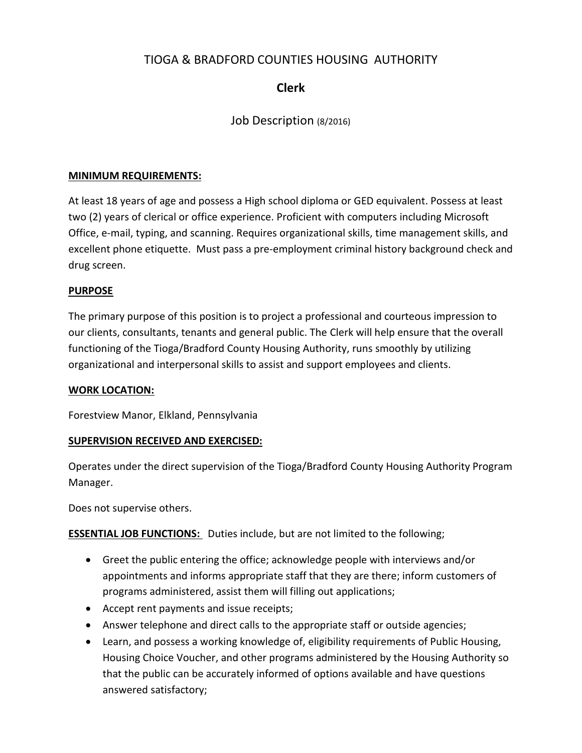# TIOGA & BRADFORD COUNTIES HOUSING AUTHORITY

## **Clerk**

## Job Description (8/2016)

### **MINIMUM REQUIREMENTS:**

At least 18 years of age and possess a High school diploma or GED equivalent. Possess at least two (2) years of clerical or office experience. Proficient with computers including Microsoft Office, e-mail, typing, and scanning. Requires organizational skills, time management skills, and excellent phone etiquette. Must pass a pre-employment criminal history background check and drug screen.

### **PURPOSE**

The primary purpose of this position is to project a professional and courteous impression to our clients, consultants, tenants and general public. The Clerk will help ensure that the overall functioning of the Tioga/Bradford County Housing Authority, runs smoothly by utilizing organizational and interpersonal skills to assist and support employees and clients.

#### **WORK LOCATION:**

Forestview Manor, Elkland, Pennsylvania

#### **SUPERVISION RECEIVED AND EXERCISED:**

Operates under the direct supervision of the Tioga/Bradford County Housing Authority Program Manager.

Does not supervise others.

**ESSENTIAL JOB FUNCTIONS:** Duties include, but are not limited to the following;

- Greet the public entering the office; acknowledge people with interviews and/or appointments and informs appropriate staff that they are there; inform customers of programs administered, assist them will filling out applications;
- Accept rent payments and issue receipts;
- Answer telephone and direct calls to the appropriate staff or outside agencies;
- Learn, and possess a working knowledge of, eligibility requirements of Public Housing, Housing Choice Voucher, and other programs administered by the Housing Authority so that the public can be accurately informed of options available and have questions answered satisfactory;